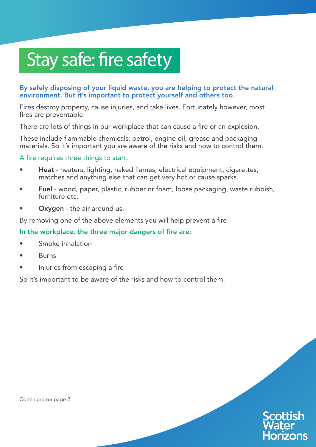# Stay safe: fire safety

## By safely disposing of your liquid waste, you are helping to protect the natural environment. But it's important to protect yourself and others too.

Fires destroy property, cause injuries, and take lives. Fortunately however, most fires are preventable.

There are lots of things in our workplace that can cause a fire or an explosion.

These include flammable chemicals, petrol, engine oil, grease and packaging materials. So it's important you are aware of the risks and how to control them.

## A fire requires three things to start:

- Heat heaters, lighting, naked flames, electrical equipment, cigarettes, matches and anything else that can get very hot or cause sparks.
- Fuel wood, paper, plastic, rubber or foam, loose packaging, waste rubbish, furniture etc.
- Oxygen the air around us.

By removing one of the above elements you will help prevent a fire.

## In the workplace, the three major dangers of fire are:

- Smoke inhalation
- **Burns**
- Injuries from escaping a fire

So it's important to be aware of the risks and how to control them.



Continued on page 2.